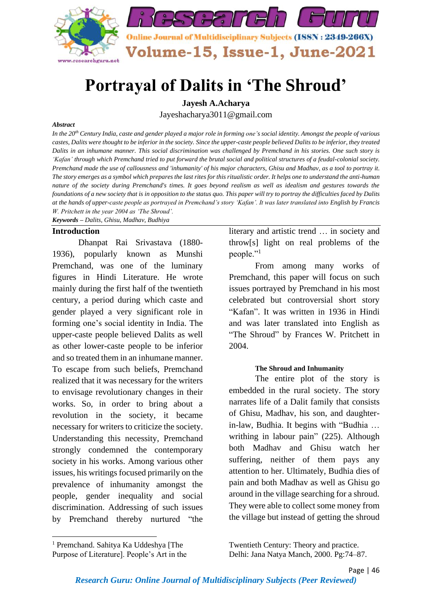

# **Portrayal of Dalits in 'The Shroud'**

**Jayesh A.Acharya**

Jayeshacharya3011@gmail.com

#### *Abstract*

*In the 20th Century India, caste and gender played a major role in forming one's social identity. Amongst the people of various castes, Dalits were thought to be inferior in the society. Since the upper-caste people believed Dalits to be inferior, they treated Dalits in an inhumane manner. This social discrimination was challenged by Premchand in his stories. One such story is 'Kafan' through which Premchand tried to put forward the brutal social and political structures of a feudal-colonial society. Premchand made the use of callousness and 'inhumanity' of his major characters, Ghisu and Madhav, as a tool to portray it. The story emerges as a symbol which prepares the last rites for this ritualistic order. It helps one to understand the anti-human nature of the society during Premchand's times. It goes beyond realism as well as idealism and gestures towards the foundations of a new society that is in opposition to the status quo. This paper will try to portray the difficulties faced by Dalits at the hands of upper-caste people as portrayed in Premchand's story 'Kafan'. It was later translated into English by Francis W. Pritchett in the year 2004 as 'The Shroud'.*

*Keywords – Dalits, Ghisu, Madhav, Budhiya*

#### **Introduction**

Dhanpat Rai Srivastava (1880- 1936), popularly known as Munshi Premchand, was one of the luminary figures in Hindi Literature. He wrote mainly during the first half of the twentieth century, a period during which caste and gender played a very significant role in forming one's social identity in India. The upper-caste people believed Dalits as well as other lower-caste people to be inferior and so treated them in an inhumane manner. To escape from such beliefs, Premchand realized that it was necessary for the writers to envisage revolutionary changes in their works. So, in order to bring about a revolution in the society, it became necessary for writers to criticize the society. Understanding this necessity, Premchand strongly condemned the contemporary society in his works. Among various other issues, his writings focused primarily on the prevalence of inhumanity amongst the people, gender inequality and social discrimination. Addressing of such issues by Premchand thereby nurtured "the

literary and artistic trend … in society and throw[s] light on real problems of the people."<sup>1</sup>

From among many works of Premchand, this paper will focus on such issues portrayed by Premchand in his most celebrated but controversial short story "Kafan". It was written in 1936 in Hindi and was later translated into English as "The Shroud" by Frances W. Pritchett in 2004.

#### **The Shroud and Inhumanity**

The entire plot of the story is embedded in the rural society. The story narrates life of a Dalit family that consists of Ghisu, Madhav, his son, and daughterin-law, Budhia. It begins with "Budhia … writhing in labour pain" (225). Although both Madhav and Ghisu watch her suffering, neither of them pays any attention to her. Ultimately, Budhia dies of pain and both Madhav as well as Ghisu go around in the village searching for a shroud. They were able to collect some money from the village but instead of getting the shroud

Twentieth Century: Theory and practice. Delhi: Jana Natya Manch, 2000. Pg:74–87.

<sup>1</sup> Premchand. Sahitya Ka Uddeshya [The Purpose of Literature]. People's Art in the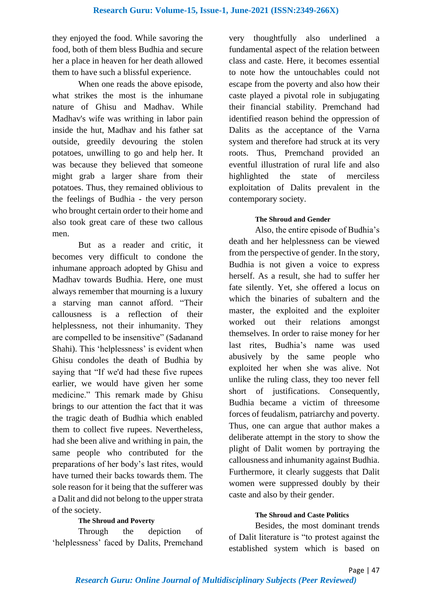they enjoyed the food. While savoring the food, both of them bless Budhia and secure her a place in heaven for her death allowed them to have such a blissful experience.

When one reads the above episode, what strikes the most is the inhumane nature of Ghisu and Madhav. While Madhav's wife was writhing in labor pain inside the hut, Madhav and his father sat outside, greedily devouring the stolen potatoes, unwilling to go and help her. It was because they believed that someone might grab a larger share from their potatoes. Thus, they remained oblivious to the feelings of Budhia - the very person who brought certain order to their home and also took great care of these two callous men.

But as a reader and critic, it becomes very difficult to condone the inhumane approach adopted by Ghisu and Madhav towards Budhia. Here, one must always remember that mourning is a luxury a starving man cannot afford. "Their callousness is a reflection of their helplessness, not their inhumanity. They are compelled to be insensitive" (Sadanand Shahi). This 'helplessness' is evident when Ghisu condoles the death of Budhia by saying that "If we'd had these five rupees earlier, we would have given her some medicine." This remark made by Ghisu brings to our attention the fact that it was the tragic death of Budhia which enabled them to collect five rupees. Nevertheless, had she been alive and writhing in pain, the same people who contributed for the preparations of her body's last rites, would have turned their backs towards them. The sole reason for it being that the sufferer was a Dalit and did not belong to the upper strata of the society.

# **The Shroud and Poverty**

Through the depiction of 'helplessness' faced by Dalits, Premchand very thoughtfully also underlined a fundamental aspect of the relation between class and caste. Here, it becomes essential to note how the untouchables could not escape from the poverty and also how their caste played a pivotal role in subjugating their financial stability. Premchand had identified reason behind the oppression of Dalits as the acceptance of the Varna system and therefore had struck at its very roots. Thus, Premchand provided an eventful illustration of rural life and also highlighted the state of merciless exploitation of Dalits prevalent in the contemporary society.

## **The Shroud and Gender**

Also, the entire episode of Budhia's death and her helplessness can be viewed from the perspective of gender. In the story, Budhia is not given a voice to express herself. As a result, she had to suffer her fate silently. Yet, she offered a locus on which the binaries of subaltern and the master, the exploited and the exploiter worked out their relations amongst themselves. In order to raise money for her last rites, Budhia's name was used abusively by the same people who exploited her when she was alive. Not unlike the ruling class, they too never fell short of justifications. Consequently, Budhia became a victim of threesome forces of feudalism, patriarchy and poverty. Thus, one can argue that author makes a deliberate attempt in the story to show the plight of Dalit women by portraying the callousness and inhumanity against Budhia. Furthermore, it clearly suggests that Dalit women were suppressed doubly by their caste and also by their gender.

## **The Shroud and Caste Politics**

Besides, the most dominant trends of Dalit literature is "to protest against the established system which is based on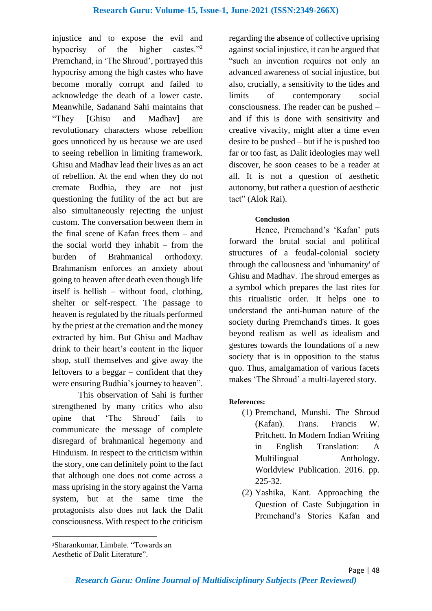injustice and to expose the evil and hypocrisy of the higher castes."<sup>2</sup> Premchand, in 'The Shroud', portrayed this hypocrisy among the high castes who have become morally corrupt and failed to acknowledge the death of a lower caste. Meanwhile, Sadanand Sahi maintains that "They [Ghisu and Madhav] are revolutionary characters whose rebellion goes unnoticed by us because we are used to seeing rebellion in limiting framework. Ghisu and Madhav lead their lives as an act of rebellion. At the end when they do not cremate Budhia, they are not just questioning the futility of the act but are also simultaneously rejecting the unjust custom. The conversation between them in the final scene of Kafan frees them – and the social world they inhabit – from the burden of Brahmanical orthodoxy. Brahmanism enforces an anxiety about going to heaven after death even though life itself is hellish – without food, clothing, shelter or self-respect. The passage to heaven is regulated by the rituals performed by the priest at the cremation and the money extracted by him. But Ghisu and Madhav drink to their heart's content in the liquor shop, stuff themselves and give away the leftovers to a beggar – confident that they were ensuring Budhia's journey to heaven".

This observation of Sahi is further strengthened by many critics who also opine that 'The Shroud' fails to communicate the message of complete disregard of brahmanical hegemony and Hinduism. In respect to the criticism within the story, one can definitely point to the fact that although one does not come across a mass uprising in the story against the Varna system, but at the same time the protagonists also does not lack the Dalit consciousness. With respect to the criticism regarding the absence of collective uprising against social injustice, it can be argued that "such an invention requires not only an advanced awareness of social injustice, but also, crucially, a sensitivity to the tides and limits of contemporary social consciousness. The reader can be pushed – and if this is done with sensitivity and creative vivacity, might after a time even desire to be pushed – but if he is pushed too far or too fast, as Dalit ideologies may well discover, he soon ceases to be a reader at all. It is not a question of aesthetic autonomy, but rather a question of aesthetic tact" (Alok Rai).

# **Conclusion**

Hence, Premchand's 'Kafan' puts forward the brutal social and political structures of a feudal-colonial society through the callousness and 'inhumanity' of Ghisu and Madhav. The shroud emerges as a symbol which prepares the last rites for this ritualistic order. It helps one to understand the anti-human nature of the society during Premchand's times. It goes beyond realism as well as idealism and gestures towards the foundations of a new society that is in opposition to the status quo. Thus, amalgamation of various facets makes 'The Shroud' a multi-layered story.

# **References:**

- (1) Premchand, Munshi. The Shroud (Kafan). Trans. Francis W. Pritchett. In Modern Indian Writing in English Translation: A Multilingual Anthology. Worldview Publication. 2016. pp. 225-32.
- (2) Yashika, Kant. Approaching the Question of Caste Subjugation in Premchand's Stories Kafan and

<sup>2</sup>Sharankumar, Limbale. "Towards an Aesthetic of Dalit Literature".